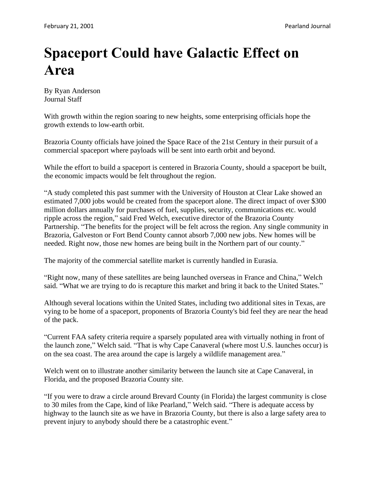## **Spaceport Could have Galactic Effect on Area**

By Ryan Anderson Journal Staff

With growth within the region soaring to new heights, some enterprising officials hope the growth extends to low-earth orbit.

Brazoria County officials have joined the Space Race of the 21st Century in their pursuit of a commercial spaceport where payloads will be sent into earth orbit and beyond.

While the effort to build a spaceport is centered in Brazoria County, should a spaceport be built, the economic impacts would be felt throughout the region.

"A study completed this past summer with the University of Houston at Clear Lake showed an estimated 7,000 jobs would be created from the spaceport alone. The direct impact of over \$300 million dollars annually for purchases of fuel, supplies, security, communications etc. would ripple across the region," said Fred Welch, executive director of the Brazoria County Partnership. "The benefits for the project will be felt across the region. Any single community in Brazoria, Galveston or Fort Bend County cannot absorb 7,000 new jobs. New homes will be needed. Right now, those new homes are being built in the Northern part of our county."

The majority of the commercial satellite market is currently handled in Eurasia.

"Right now, many of these satellites are being launched overseas in France and China," Welch said. "What we are trying to do is recapture this market and bring it back to the United States."

Although several locations within the United States, including two additional sites in Texas, are vying to be home of a spaceport, proponents of Brazoria County's bid feel they are near the head of the pack.

"Current FAA safety criteria require a sparsely populated area with virtually nothing in front of the launch zone," Welch said. "That is why Cape Canaveral (where most U.S. launches occur) is on the sea coast. The area around the cape is largely a wildlife management area."

Welch went on to illustrate another similarity between the launch site at Cape Canaveral, in Florida, and the proposed Brazoria County site.

"If you were to draw a circle around Brevard County (in Florida) the largest community is close to 30 miles from the Cape, kind of like Pearland," Welch said. "There is adequate access by highway to the launch site as we have in Brazoria County, but there is also a large safety area to prevent injury to anybody should there be a catastrophic event."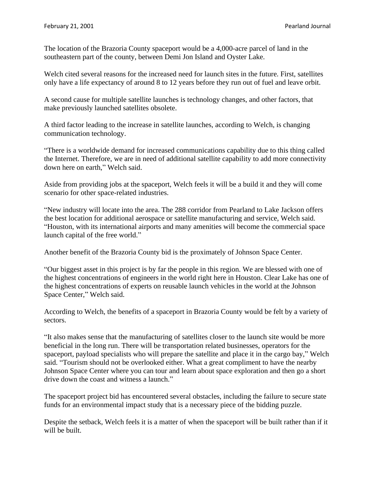The location of the Brazoria County spaceport would be a 4,000-acre parcel of land in the southeastern part of the county, between Demi Jon Island and Oyster Lake.

Welch cited several reasons for the increased need for launch sites in the future. First, satellites only have a life expectancy of around 8 to 12 years before they run out of fuel and leave orbit.

A second cause for multiple satellite launches is technology changes, and other factors, that make previously launched satellites obsolete.

A third factor leading to the increase in satellite launches, according to Welch, is changing communication technology.

"There is a worldwide demand for increased communications capability due to this thing called the Internet. Therefore, we are in need of additional satellite capability to add more connectivity down here on earth," Welch said.

Aside from providing jobs at the spaceport, Welch feels it will be a build it and they will come scenario for other space-related industries.

"New industry will locate into the area. The 288 corridor from Pearland to Lake Jackson offers the best location for additional aerospace or satellite manufacturing and service, Welch said. "Houston, with its international airports and many amenities will become the commercial space launch capital of the free world."

Another benefit of the Brazoria County bid is the proximately of Johnson Space Center.

"Our biggest asset in this project is by far the people in this region. We are blessed with one of the highest concentrations of engineers in the world right here in Houston. Clear Lake has one of the highest concentrations of experts on reusable launch vehicles in the world at the Johnson Space Center," Welch said.

According to Welch, the benefits of a spaceport in Brazoria County would be felt by a variety of sectors.

"It also makes sense that the manufacturing of satellites closer to the launch site would be more beneficial in the long run. There will be transportation related businesses, operators for the spaceport, payload specialists who will prepare the satellite and place it in the cargo bay," Welch said. "Tourism should not be overlooked either. What a great compliment to have the nearby Johnson Space Center where you can tour and learn about space exploration and then go a short drive down the coast and witness a launch."

The spaceport project bid has encountered several obstacles, including the failure to secure state funds for an environmental impact study that is a necessary piece of the bidding puzzle.

Despite the setback, Welch feels it is a matter of when the spaceport will be built rather than if it will be built.